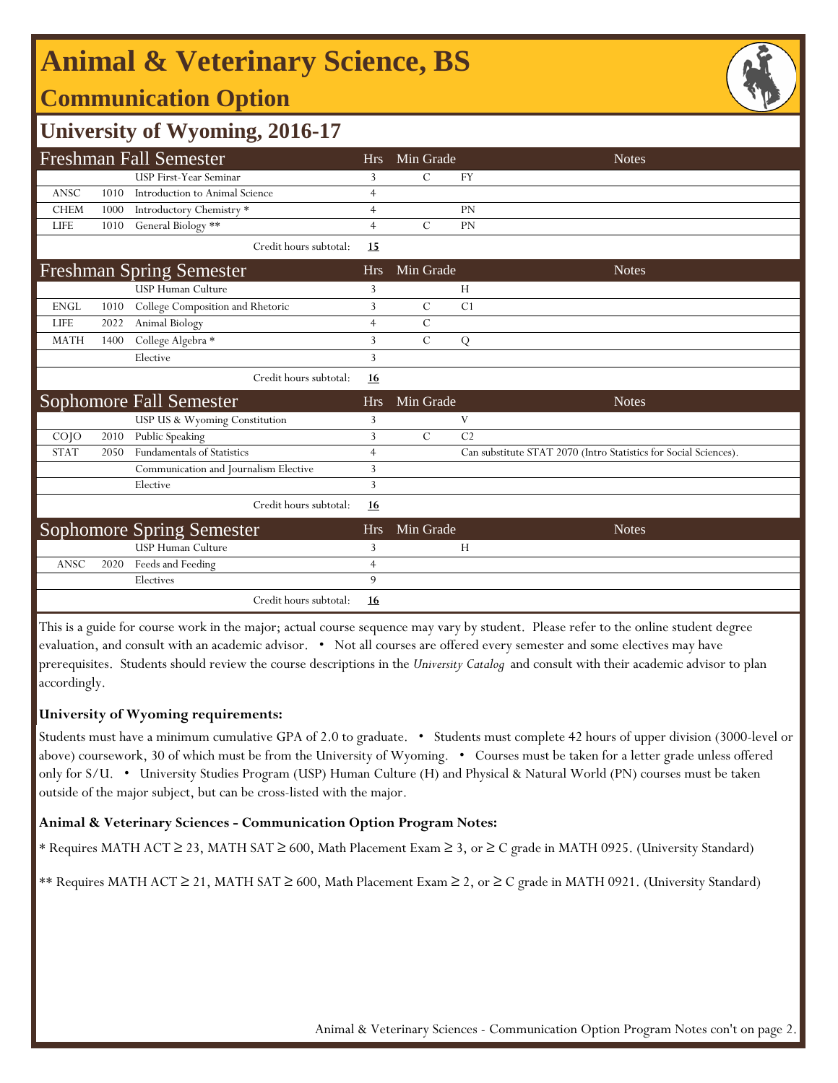## **Animal & Veterinary Science, BS**

## **Communication Option**

### **University of Wyoming, 2016-17**

|                 |      | Freshman Fall Semester                | <b>Hrs</b>     | Min Grade     |                | <b>Notes</b>                                                     |
|-----------------|------|---------------------------------------|----------------|---------------|----------------|------------------------------------------------------------------|
|                 |      | USP First-Year Seminar                | 3              | C             | <b>FY</b>      |                                                                  |
| ANSC            | 1010 | Introduction to Animal Science        | $\overline{4}$ |               |                |                                                                  |
| <b>CHEM</b>     | 1000 | Introductory Chemistry *              | $\overline{4}$ |               | <b>PN</b>      |                                                                  |
| <b>LIFE</b>     | 1010 | General Biology **                    | $\overline{4}$ | $\mathcal{C}$ | PN             |                                                                  |
|                 |      | Credit hours subtotal:                | <b>15</b>      |               |                |                                                                  |
|                 |      | <b>Freshman Spring Semester</b>       | <b>Hrs</b>     | Min Grade     |                | <b>Notes</b>                                                     |
|                 |      | USP Human Culture                     | 3              |               | H              |                                                                  |
| <b>ENGL</b>     | 1010 | College Composition and Rhetoric      | 3              | $\mathcal{C}$ | C1             |                                                                  |
| <b>LIFE</b>     | 2022 | Animal Biology                        | $\overline{4}$ | $\mathcal{C}$ |                |                                                                  |
| <b>MATH</b>     | 1400 | College Algebra *                     | 3              | $\mathcal{C}$ | ${\bf Q}$      |                                                                  |
|                 |      | Elective                              | 3              |               |                |                                                                  |
|                 |      | Credit hours subtotal:                | 16             |               |                |                                                                  |
|                 |      |                                       |                |               |                |                                                                  |
|                 |      | <b>Sophomore Fall Semester</b>        | <b>Hrs</b>     | Min Grade     |                | <b>Notes</b>                                                     |
|                 |      | USP US & Wyoming Constitution         | 3              |               | V              |                                                                  |
| CO <sub>1</sub> | 2010 | Public Speaking                       | 3              | $\mathcal{C}$ | C <sub>2</sub> |                                                                  |
| <b>STAT</b>     | 2050 | <b>Fundamentals of Statistics</b>     | $\overline{4}$ |               |                | Can substitute STAT 2070 (Intro Statistics for Social Sciences). |
|                 |      | Communication and Journalism Elective | 3              |               |                |                                                                  |
|                 |      | Elective                              | 3              |               |                |                                                                  |
|                 |      | Credit hours subtotal:                | <u>16</u>      |               |                |                                                                  |
|                 |      | <b>Sophomore Spring Semester</b>      | <b>Hrs</b>     | Min Grade     |                | <b>Notes</b>                                                     |
|                 |      | <b>USP Human Culture</b>              | 3              |               | H              |                                                                  |
| <b>ANSC</b>     | 2020 | Feeds and Feeding                     | $\overline{4}$ |               |                |                                                                  |
|                 |      | Electives                             | 9              |               |                |                                                                  |

This is a guide for course work in the major; actual course sequence may vary by student. Please refer to the online student degree evaluation, and consult with an academic advisor. • Not all courses are offered every semester and some electives may have prerequisites. Students should review the course descriptions in the *University Catalog* and consult with their academic advisor to plan accordingly.

#### **University of Wyoming requirements:**

Students must have a minimum cumulative GPA of 2.0 to graduate. • Students must complete 42 hours of upper division (3000-level or above) coursework, 30 of which must be from the University of Wyoming. • Courses must be taken for a letter grade unless offered only for S/U. • University Studies Program (USP) Human Culture (H) and Physical & Natural World (PN) courses must be taken outside of the major subject, but can be cross-listed with the major.

#### **Animal & Veterinary Sciences - Communication Option Program Notes:**

\* Requires MATH ACT ≥ 23, MATH SAT ≥ 600, Math Placement Exam ≥ 3, or ≥ C grade in MATH 0925. (University Standard)

\*\* Requires MATH ACT ≥ 21, MATH SAT ≥ 600, Math Placement Exam ≥ 2, or ≥ C grade in MATH 0921. (University Standard)